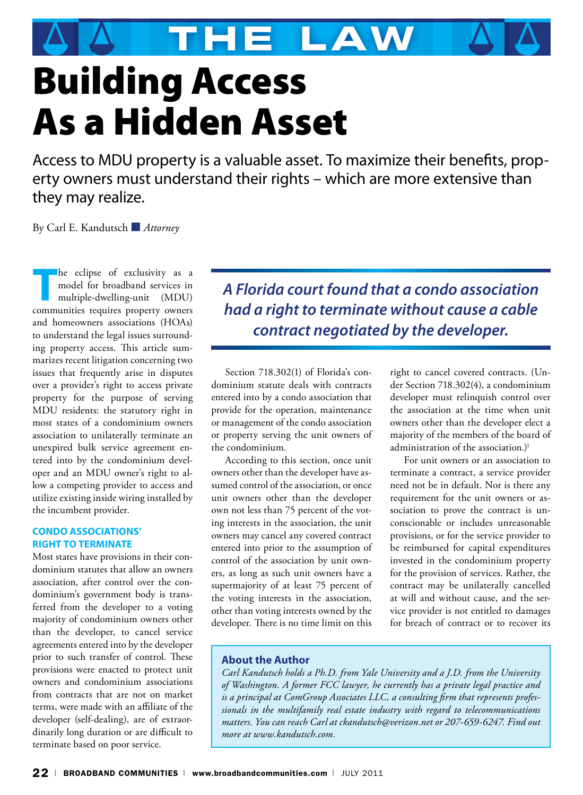**The Law**

# Building Access As a Hidden Asset

Access to MDU property is a valuable asset. To maximize their benefits, property owners must understand their rights – which are more extensive than they may realize.

By Carl E. Kandutsch ■ *Attorney*

**THE EXPLUSIVITY AS A MODEL THE EXPLORER CONSUMING THE MODEL OF THE MODEL OF THE EXPLORER CONSUMING THE CONSUMING THE CONSUMING THE CONSUMING THE CONSUMING THE CONSUMING THE CONSUMING THE CONSUMING THE CONSUMING THE CONSUM** model for broadband services in communities requires property owners and homeowners associations (HOAs) to understand the legal issues surrounding property access. This article summarizes recent litigation concerning two issues that frequently arise in disputes over a provider's right to access private property for the purpose of serving MDU residents: the statutory right in most states of a condominium owners association to unilaterally terminate an unexpired bulk service agreement entered into by the condominium developer and an MDU owner's right to allow a competing provider to access and utilize existing inside wiring installed by the incumbent provider.

#### **Condo Associations' Right to Terminate**

Most states have provisions in their condominium statutes that allow an owners association, after control over the condominium's government body is transferred from the developer to a voting majority of condominium owners other than the developer, to cancel service agreements entered into by the developer prior to such transfer of control. These provisions were enacted to protect unit owners and condominium associations from contracts that are not on market terms, were made with an affiliate of the developer (self-dealing), are of extraordinarily long duration or are difficult to terminate based on poor service.

*A Florida court found that a condo association had a right to terminate without cause a cable contract negotiated by the developer.*

Section 718.302(1) of Florida's condominium statute deals with contracts entered into by a condo association that provide for the operation, maintenance or management of the condo association or property serving the unit owners of the condominium.

According to this section, once unit owners other than the developer have assumed control of the association, or once unit owners other than the developer own not less than 75 percent of the voting interests in the association, the unit owners may cancel any covered contract entered into prior to the assumption of control of the association by unit owners, as long as such unit owners have a supermajority of at least 75 percent of the voting interests in the association, other than voting interests owned by the developer. There is no time limit on this right to cancel covered contracts. (Under Section 718.302(4), a condominium developer must relinquish control over the association at the time when unit owners other than the developer elect a majority of the members of the board of administration of the association.)<sup>1</sup>

For unit owners or an association to terminate a contract, a service provider need not be in default. Nor is there any requirement for the unit owners or association to prove the contract is unconscionable or includes unreasonable provisions, or for the service provider to be reimbursed for capital expenditures invested in the condominium property for the provision of services. Rather, the contract may be unilaterally cancelled at will and without cause, and the service provider is not entitled to damages for breach of contract or to recover its

### **About the Author**

*Carl Kandutsch holds a Ph.D. from Yale University and a J.D. from the University of Washington. A former FCC lawyer, he currently has a private legal practice and is a principal at ComGroup Associates LLC, a consulting firm that represents professionals in the multifamily real estate industry with regard to telecommunications matters. You can reach Carl at ckandutsch@verizon.net or 207-659-6247. Find out more at www.kandutsch.com.*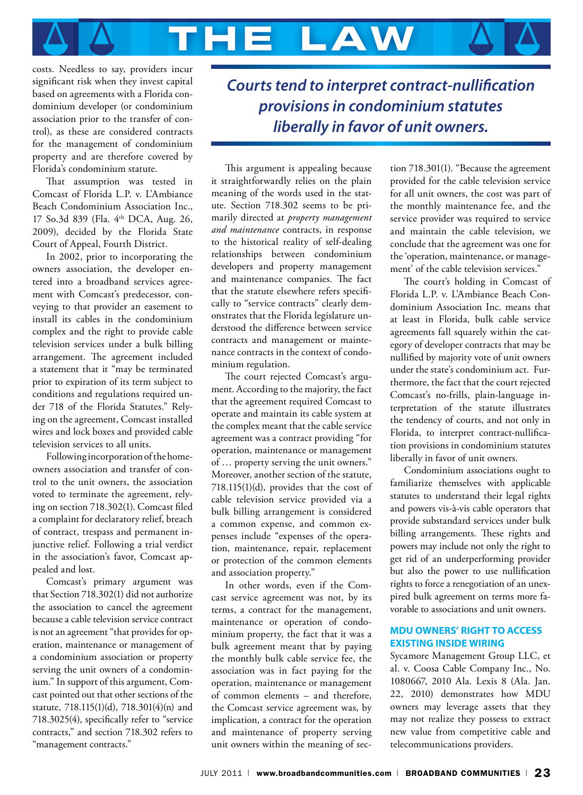

costs. Needless to say, providers incur significant risk when they invest capital based on agreements with a Florida condominium developer (or condominium association prior to the transfer of control), as these are considered contracts for the management of condominium property and are therefore covered by Florida's condominium statute.

That assumption was tested in Comcast of Florida L.P. v. L'Ambiance Beach Condominium Association Inc., 17 So.3d 839 (Fla. 4th DCA, Aug. 26, 2009), decided by the Florida State Court of Appeal, Fourth District.

In 2002, prior to incorporating the owners association, the developer entered into a broadband services agreement with Comcast's predecessor, conveying to that provider an easement to install its cables in the condominium complex and the right to provide cable television services under a bulk billing arrangement. The agreement included a statement that it "may be terminated prior to expiration of its term subject to conditions and regulations required under 718 of the Florida Statutes." Relying on the agreement, Comcast installed wires and lock boxes and provided cable television services to all units.

Following incorporation of the homeowners association and transfer of control to the unit owners, the association voted to terminate the agreement, relying on section 718.302(1). Comcast filed a complaint for declaratory relief, breach of contract, trespass and permanent injunctive relief. Following a trial verdict in the association's favor, Comcast appealed and lost.

Comcast's primary argument was that Section 718.302(1) did not authorize the association to cancel the agreement because a cable television service contract is not an agreement "that provides for operation, maintenance or management of a condominium association or property serving the unit owners of a condominium." In support of this argument, Comcast pointed out that other sections of the statute, 718.115(1)(d), 718.301(4)(n) and 718.3025(4), specifically refer to "service contracts," and section 718.302 refers to "management contracts."

*Courts tend to interpret contract-nullification provisions in condominium statutes liberally in favor of unit owners.*

This argument is appealing because it straightforwardly relies on the plain meaning of the words used in the statute. Section 718.302 seems to be primarily directed at *property management and maintenance* contracts, in response to the historical reality of self-dealing relationships between condominium developers and property management and maintenance companies. The fact that the statute elsewhere refers specifically to "service contracts" clearly demonstrates that the Florida legislature understood the difference between service contracts and management or maintenance contracts in the context of condominium regulation.

The court rejected Comcast's argument. According to the majority, the fact that the agreement required Comcast to operate and maintain its cable system at the complex meant that the cable service agreement was a contract providing "for operation, maintenance or management of … property serving the unit owners." Moreover, another section of the statute, 718.115(1)(d), provides that the cost of cable television service provided via a bulk billing arrangement is considered a common expense, and common expenses include "expenses of the operation, maintenance, repair, replacement or protection of the common elements and association property."

In other words, even if the Comcast service agreement was not, by its terms, a contract for the management, maintenance or operation of condominium property, the fact that it was a bulk agreement meant that by paying the monthly bulk cable service fee, the association was in fact paying for the operation, maintenance or management of common elements – and therefore, the Comcast service agreement was, by implication, a contract for the operation and maintenance of property serving unit owners within the meaning of section 718.301(1). "Because the agreement provided for the cable television service for all unit owners, the cost was part of the monthly maintenance fee, and the service provider was required to service and maintain the cable television, we conclude that the agreement was one for the 'operation, maintenance, or management' of the cable television services."

The court's holding in Comcast of Florida L.P. v. L'Ambiance Beach Condominium Association Inc. means that at least in Florida, bulk cable service agreements fall squarely within the category of developer contracts that may be nullified by majority vote of unit owners under the state's condominium act. Furthermore, the fact that the court rejected Comcast's no-frills, plain-language interpretation of the statute illustrates the tendency of courts, and not only in Florida, to interpret contract-nullification provisions in condominium statutes liberally in favor of unit owners.

Condominium associations ought to familiarize themselves with applicable statutes to understand their legal rights and powers vis-à-vis cable operators that provide substandard services under bulk billing arrangements. These rights and powers may include not only the right to get rid of an underperforming provider but also the power to use nullification rights to force a renegotiation of an unexpired bulk agreement on terms more favorable to associations and unit owners.

#### **MDU Owners' Right to Access Existing Inside Wiring**

Sycamore Management Group LLC, et al. v. Coosa Cable Company Inc., No. 1080667, 2010 Ala. Lexis 8 (Ala. Jan. 22, 2010) demonstrates how MDU owners may leverage assets that they may not realize they possess to extract new value from competitive cable and telecommunications providers.